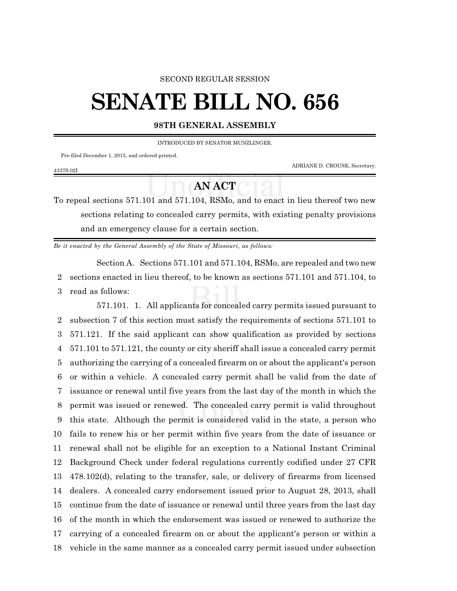#### SECOND REGULAR SESSION

# **SENATE BILL NO. 656**

### **98TH GENERAL ASSEMBLY**

INTRODUCED BY SENATOR MUNZLINGER.

Pre-filed December 1, 2015, and ordered printed.

4337S.02I

ADRIANE D. CROUSE, Secretary.

## **AN ACT**

To repeal sections 571.101 and 571.104, RSMo, and to enact in lieu thereof two new sections relating to concealed carry permits, with existing penalty provisions and an emergency clause for a certain section.

*Be it enacted by the General Assembly of the State of Missouri, as follows:*

Section A. Sections 571.101 and 571.104, RSMo, are repealed and two new 2 sections enacted in lieu thereof, to be known as sections 571.101 and 571.104, to 3 read as follows:

571.101. 1. All applicants for concealed carry permits issued pursuant to subsection 7 of this section must satisfy the requirements of sections 571.101 to 571.121. If the said applicant can show qualification as provided by sections 571.101 to 571.121, the county or city sheriff shall issue a concealed carry permit authorizing the carrying of a concealed firearm on or about the applicant's person or within a vehicle. A concealed carry permit shall be valid from the date of issuance or renewal until five years from the last day of the month in which the permit was issued or renewed. The concealed carry permit is valid throughout this state. Although the permit is considered valid in the state, a person who fails to renew his or her permit within five years from the date of issuance or renewal shall not be eligible for an exception to a National Instant Criminal Background Check under federal regulations currently codified under 27 CFR 478.102(d), relating to the transfer, sale, or delivery of firearms from licensed dealers. A concealed carry endorsement issued prior to August 28, 2013, shall continue from the date of issuance or renewal until three years from the last day of the month in which the endorsement was issued or renewed to authorize the carrying of a concealed firearm on or about the applicant's person or within a vehicle in the same manner as a concealed carry permit issued under subsection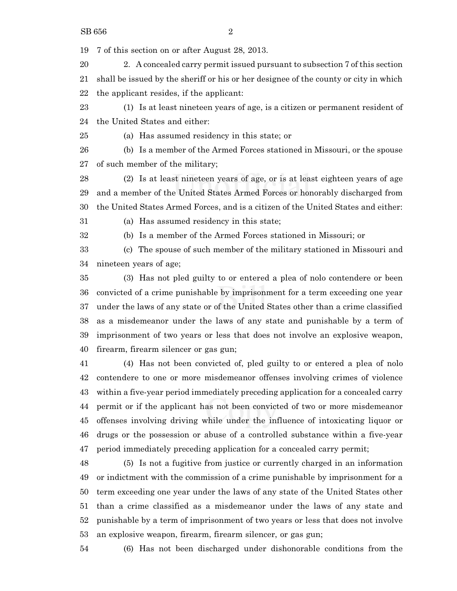7 of this section on or after August 28, 2013.

 2. A concealed carry permit issued pursuant to subsection 7 of this section shall be issued by the sheriff or his or her designee of the county or city in which the applicant resides, if the applicant:

 (1) Is at least nineteen years of age, is a citizen or permanent resident of the United States and either:

(a) Has assumed residency in this state; or

 (b) Is a member of the Armed Forces stationed in Missouri, or the spouse of such member of the military;

 (2) Is at least nineteen years of age, or is at least eighteen years of age and a member of the United States Armed Forces or honorably discharged from the United States Armed Forces, and is a citizen of the United States and either:

(a) Has assumed residency in this state;

(b) Is a member of the Armed Forces stationed in Missouri; or

 (c) The spouse of such member of the military stationed in Missouri and nineteen years of age;

 (3) Has not pled guilty to or entered a plea of nolo contendere or been convicted of a crime punishable by imprisonment for a term exceeding one year under the laws of any state or of the United States other than a crime classified as a misdemeanor under the laws of any state and punishable by a term of imprisonment of two years or less that does not involve an explosive weapon, firearm, firearm silencer or gas gun;

 (4) Has not been convicted of, pled guilty to or entered a plea of nolo contendere to one or more misdemeanor offenses involving crimes of violence within a five-year period immediately preceding application for a concealed carry permit or if the applicant has not been convicted of two or more misdemeanor offenses involving driving while under the influence of intoxicating liquor or drugs or the possession or abuse of a controlled substance within a five-year period immediately preceding application for a concealed carry permit;

 (5) Is not a fugitive from justice or currently charged in an information or indictment with the commission of a crime punishable by imprisonment for a term exceeding one year under the laws of any state of the United States other than a crime classified as a misdemeanor under the laws of any state and punishable by a term of imprisonment of two years or less that does not involve an explosive weapon, firearm, firearm silencer, or gas gun;

(6) Has not been discharged under dishonorable conditions from the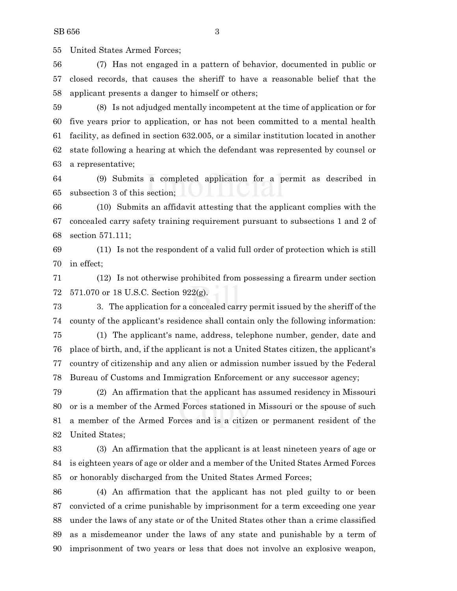United States Armed Forces;

 (7) Has not engaged in a pattern of behavior, documented in public or closed records, that causes the sheriff to have a reasonable belief that the applicant presents a danger to himself or others;

 (8) Is not adjudged mentally incompetent at the time of application or for five years prior to application, or has not been committed to a mental health facility, as defined in section 632.005, or a similar institution located in another state following a hearing at which the defendant was represented by counsel or a representative;

 (9) Submits a completed application for a permit as described in subsection 3 of this section;

 (10) Submits an affidavit attesting that the applicant complies with the concealed carry safety training requirement pursuant to subsections 1 and 2 of section 571.111;

 (11) Is not the respondent of a valid full order of protection which is still in effect;

 (12) Is not otherwise prohibited from possessing a firearm under section 571.070 or 18 U.S.C. Section 922(g).

 3. The application for a concealed carry permit issued by the sheriff of the county of the applicant's residence shall contain only the following information:

 (1) The applicant's name, address, telephone number, gender, date and place of birth, and, if the applicant is not a United States citizen, the applicant's country of citizenship and any alien or admission number issued by the Federal Bureau of Customs and Immigration Enforcement or any successor agency;

 (2) An affirmation that the applicant has assumed residency in Missouri or is a member of the Armed Forces stationed in Missouri or the spouse of such a member of the Armed Forces and is a citizen or permanent resident of the United States;

 (3) An affirmation that the applicant is at least nineteen years of age or is eighteen years of age or older and a member of the United States Armed Forces or honorably discharged from the United States Armed Forces;

 (4) An affirmation that the applicant has not pled guilty to or been convicted of a crime punishable by imprisonment for a term exceeding one year under the laws of any state or of the United States other than a crime classified as a misdemeanor under the laws of any state and punishable by a term of imprisonment of two years or less that does not involve an explosive weapon,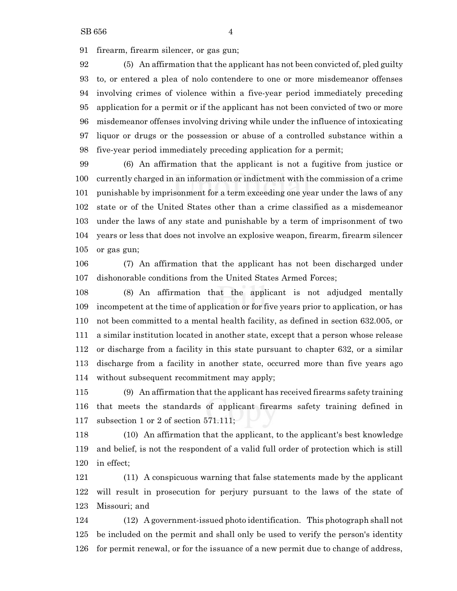firearm, firearm silencer, or gas gun;

 (5) An affirmation that the applicant has not been convicted of, pled guilty to, or entered a plea of nolo contendere to one or more misdemeanor offenses involving crimes of violence within a five-year period immediately preceding application for a permit or if the applicant has not been convicted of two or more misdemeanor offenses involving driving while under the influence of intoxicating liquor or drugs or the possession or abuse of a controlled substance within a five-year period immediately preceding application for a permit;

 (6) An affirmation that the applicant is not a fugitive from justice or currently charged in an information or indictment with the commission of a crime punishable by imprisonment for a term exceeding one year under the laws of any state or of the United States other than a crime classified as a misdemeanor under the laws of any state and punishable by a term of imprisonment of two years or less that does not involve an explosive weapon, firearm, firearm silencer or gas gun;

 (7) An affirmation that the applicant has not been discharged under dishonorable conditions from the United States Armed Forces;

 (8) An affirmation that the applicant is not adjudged mentally incompetent at the time of application or for five years prior to application, or has not been committed to a mental health facility, as defined in section 632.005, or a similar institution located in another state, except that a person whose release or discharge from a facility in this state pursuant to chapter 632, or a similar discharge from a facility in another state, occurred more than five years ago without subsequent recommitment may apply;

 (9) An affirmation that the applicant has received firearms safety training that meets the standards of applicant firearms safety training defined in subsection 1 or 2 of section 571.111;

 (10) An affirmation that the applicant, to the applicant's best knowledge and belief, is not the respondent of a valid full order of protection which is still in effect;

 (11) A conspicuous warning that false statements made by the applicant will result in prosecution for perjury pursuant to the laws of the state of Missouri; and

 (12) A government-issued photo identification. This photograph shall not be included on the permit and shall only be used to verify the person's identity for permit renewal, or for the issuance of a new permit due to change of address,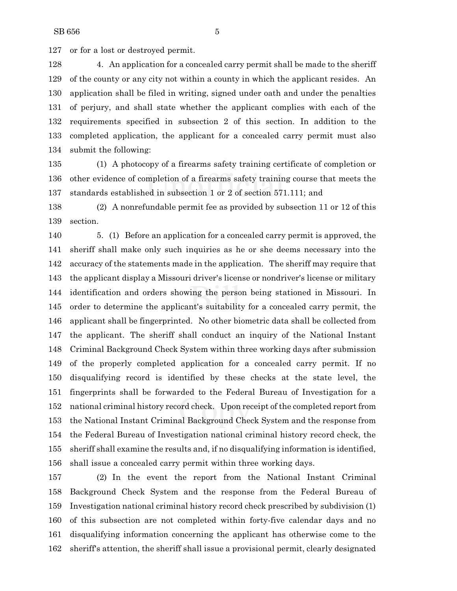or for a lost or destroyed permit.

 4. An application for a concealed carry permit shall be made to the sheriff of the county or any city not within a county in which the applicant resides. An application shall be filed in writing, signed under oath and under the penalties of perjury, and shall state whether the applicant complies with each of the requirements specified in subsection 2 of this section. In addition to the completed application, the applicant for a concealed carry permit must also submit the following:

 (1) A photocopy of a firearms safety training certificate of completion or other evidence of completion of a firearms safety training course that meets the standards established in subsection 1 or 2 of section 571.111; and

 (2) A nonrefundable permit fee as provided by subsection 11 or 12 of this section.

 5. (1) Before an application for a concealed carry permit is approved, the sheriff shall make only such inquiries as he or she deems necessary into the accuracy of the statements made in the application. The sheriff may require that the applicant display a Missouri driver's license or nondriver's license or military identification and orders showing the person being stationed in Missouri. In order to determine the applicant's suitability for a concealed carry permit, the applicant shall be fingerprinted. No other biometric data shall be collected from the applicant. The sheriff shall conduct an inquiry of the National Instant Criminal Background Check System within three working days after submission of the properly completed application for a concealed carry permit. If no disqualifying record is identified by these checks at the state level, the fingerprints shall be forwarded to the Federal Bureau of Investigation for a national criminal history record check. Upon receipt of the completed report from the National Instant Criminal Background Check System and the response from the Federal Bureau of Investigation national criminal history record check, the sheriff shall examine the results and, if no disqualifying information is identified, shall issue a concealed carry permit within three working days.

 (2) In the event the report from the National Instant Criminal Background Check System and the response from the Federal Bureau of Investigation national criminal history record check prescribed by subdivision (1) of this subsection are not completed within forty-five calendar days and no disqualifying information concerning the applicant has otherwise come to the sheriff's attention, the sheriff shall issue a provisional permit, clearly designated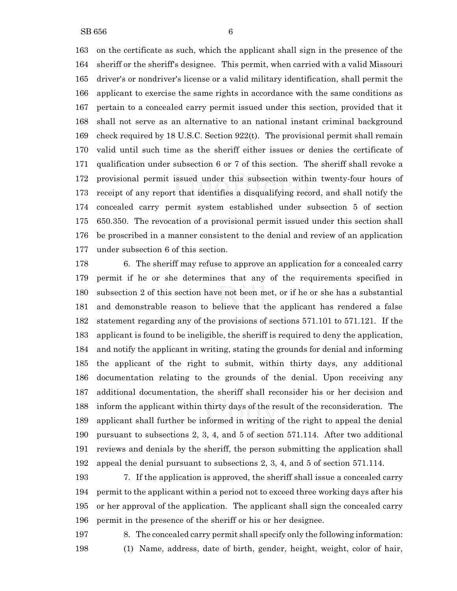on the certificate as such, which the applicant shall sign in the presence of the sheriff or the sheriff's designee. This permit, when carried with a valid Missouri driver's or nondriver's license or a valid military identification, shall permit the applicant to exercise the same rights in accordance with the same conditions as pertain to a concealed carry permit issued under this section, provided that it shall not serve as an alternative to an national instant criminal background check required by 18 U.S.C. Section 922(t). The provisional permit shall remain valid until such time as the sheriff either issues or denies the certificate of qualification under subsection 6 or 7 of this section. The sheriff shall revoke a provisional permit issued under this subsection within twenty-four hours of receipt of any report that identifies a disqualifying record, and shall notify the

 concealed carry permit system established under subsection 5 of section 650.350. The revocation of a provisional permit issued under this section shall be proscribed in a manner consistent to the denial and review of an application under subsection 6 of this section.

 6. The sheriff may refuse to approve an application for a concealed carry permit if he or she determines that any of the requirements specified in subsection 2 of this section have not been met, or if he or she has a substantial and demonstrable reason to believe that the applicant has rendered a false statement regarding any of the provisions of sections 571.101 to 571.121. If the applicant is found to be ineligible, the sheriff is required to deny the application, and notify the applicant in writing, stating the grounds for denial and informing the applicant of the right to submit, within thirty days, any additional documentation relating to the grounds of the denial. Upon receiving any additional documentation, the sheriff shall reconsider his or her decision and inform the applicant within thirty days of the result of the reconsideration. The applicant shall further be informed in writing of the right to appeal the denial pursuant to subsections 2, 3, 4, and 5 of section 571.114. After two additional reviews and denials by the sheriff, the person submitting the application shall appeal the denial pursuant to subsections 2, 3, 4, and 5 of section 571.114.

 7. If the application is approved, the sheriff shall issue a concealed carry permit to the applicant within a period not to exceed three working days after his or her approval of the application. The applicant shall sign the concealed carry permit in the presence of the sheriff or his or her designee.

 8. The concealed carry permit shall specify only the following information: (1) Name, address, date of birth, gender, height, weight, color of hair,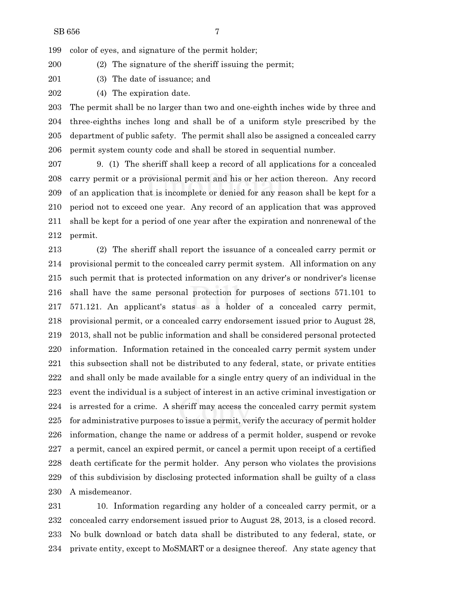color of eyes, and signature of the permit holder;

(2) The signature of the sheriff issuing the permit;

(3) The date of issuance; and

(4) The expiration date.

 The permit shall be no larger than two and one-eighth inches wide by three and three-eighths inches long and shall be of a uniform style prescribed by the department of public safety. The permit shall also be assigned a concealed carry permit system county code and shall be stored in sequential number.

 9. (1) The sheriff shall keep a record of all applications for a concealed carry permit or a provisional permit and his or her action thereon. Any record of an application that is incomplete or denied for any reason shall be kept for a period not to exceed one year. Any record of an application that was approved shall be kept for a period of one year after the expiration and nonrenewal of the permit.

 (2) The sheriff shall report the issuance of a concealed carry permit or provisional permit to the concealed carry permit system. All information on any such permit that is protected information on any driver's or nondriver's license shall have the same personal protection for purposes of sections 571.101 to 571.121. An applicant's status as a holder of a concealed carry permit, provisional permit, or a concealed carry endorsement issued prior to August 28, 2013, shall not be public information and shall be considered personal protected information. Information retained in the concealed carry permit system under this subsection shall not be distributed to any federal, state, or private entities and shall only be made available for a single entry query of an individual in the event the individual is a subject of interest in an active criminal investigation or is arrested for a crime. A sheriff may access the concealed carry permit system for administrative purposes to issue a permit, verify the accuracy of permit holder information, change the name or address of a permit holder, suspend or revoke a permit, cancel an expired permit, or cancel a permit upon receipt of a certified death certificate for the permit holder. Any person who violates the provisions of this subdivision by disclosing protected information shall be guilty of a class A misdemeanor.

 10. Information regarding any holder of a concealed carry permit, or a concealed carry endorsement issued prior to August 28, 2013, is a closed record. No bulk download or batch data shall be distributed to any federal, state, or private entity, except to MoSMART or a designee thereof. Any state agency that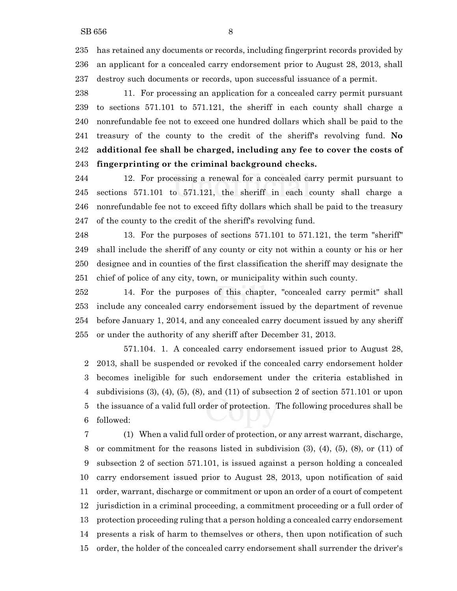has retained any documents or records, including fingerprint records provided by an applicant for a concealed carry endorsement prior to August 28, 2013, shall destroy such documents or records, upon successful issuance of a permit.

 11. For processing an application for a concealed carry permit pursuant to sections 571.101 to 571.121, the sheriff in each county shall charge a nonrefundable fee not to exceed one hundred dollars which shall be paid to the treasury of the county to the credit of the sheriff's revolving fund. **No additional fee shall be charged, including any fee to cover the costs of fingerprinting or the criminal background checks.**

 12. For processing a renewal for a concealed carry permit pursuant to sections 571.101 to 571.121, the sheriff in each county shall charge a nonrefundable fee not to exceed fifty dollars which shall be paid to the treasury of the county to the credit of the sheriff's revolving fund.

 13. For the purposes of sections 571.101 to 571.121, the term "sheriff" shall include the sheriff of any county or city not within a county or his or her designee and in counties of the first classification the sheriff may designate the chief of police of any city, town, or municipality within such county.

 14. For the purposes of this chapter, "concealed carry permit" shall include any concealed carry endorsement issued by the department of revenue before January 1, 2014, and any concealed carry document issued by any sheriff or under the authority of any sheriff after December 31, 2013.

571.104. 1. A concealed carry endorsement issued prior to August 28, 2013, shall be suspended or revoked if the concealed carry endorsement holder becomes ineligible for such endorsement under the criteria established in subdivisions (3), (4), (5), (8), and (11) of subsection 2 of section 571.101 or upon the issuance of a valid full order of protection. The following procedures shall be followed:

 (1) When a valid full order of protection, or any arrest warrant, discharge, or commitment for the reasons listed in subdivision (3), (4), (5), (8), or (11) of subsection 2 of section 571.101, is issued against a person holding a concealed carry endorsement issued prior to August 28, 2013, upon notification of said order, warrant, discharge or commitment or upon an order of a court of competent jurisdiction in a criminal proceeding, a commitment proceeding or a full order of protection proceeding ruling that a person holding a concealed carry endorsement presents a risk of harm to themselves or others, then upon notification of such order, the holder of the concealed carry endorsement shall surrender the driver's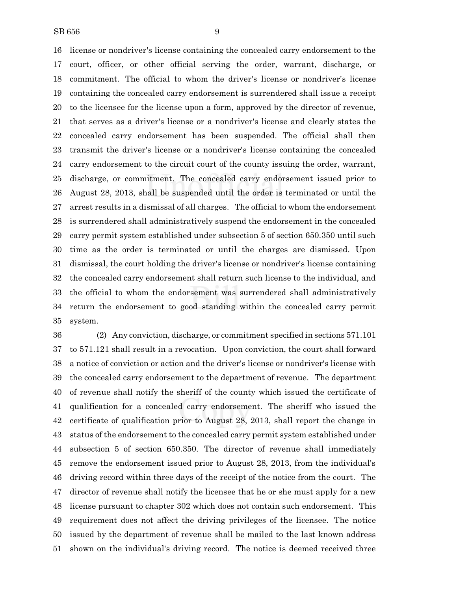license or nondriver's license containing the concealed carry endorsement to the court, officer, or other official serving the order, warrant, discharge, or commitment. The official to whom the driver's license or nondriver's license containing the concealed carry endorsement is surrendered shall issue a receipt to the licensee for the license upon a form, approved by the director of revenue, that serves as a driver's license or a nondriver's license and clearly states the concealed carry endorsement has been suspended. The official shall then transmit the driver's license or a nondriver's license containing the concealed carry endorsement to the circuit court of the county issuing the order, warrant, discharge, or commitment. The concealed carry endorsement issued prior to August 28, 2013, shall be suspended until the order is terminated or until the arrest results in a dismissal of all charges. The official to whom the endorsement is surrendered shall administratively suspend the endorsement in the concealed carry permit system established under subsection 5 of section 650.350 until such time as the order is terminated or until the charges are dismissed. Upon dismissal, the court holding the driver's license or nondriver's license containing the concealed carry endorsement shall return such license to the individual, and the official to whom the endorsement was surrendered shall administratively return the endorsement to good standing within the concealed carry permit system.

 (2) Any conviction, discharge, or commitment specified in sections 571.101 to 571.121 shall result in a revocation. Upon conviction, the court shall forward a notice of conviction or action and the driver's license or nondriver's license with the concealed carry endorsement to the department of revenue. The department of revenue shall notify the sheriff of the county which issued the certificate of qualification for a concealed carry endorsement. The sheriff who issued the certificate of qualification prior to August 28, 2013, shall report the change in status of the endorsement to the concealed carry permit system established under subsection 5 of section 650.350. The director of revenue shall immediately remove the endorsement issued prior to August 28, 2013, from the individual's driving record within three days of the receipt of the notice from the court. The director of revenue shall notify the licensee that he or she must apply for a new license pursuant to chapter 302 which does not contain such endorsement. This requirement does not affect the driving privileges of the licensee. The notice issued by the department of revenue shall be mailed to the last known address shown on the individual's driving record. The notice is deemed received three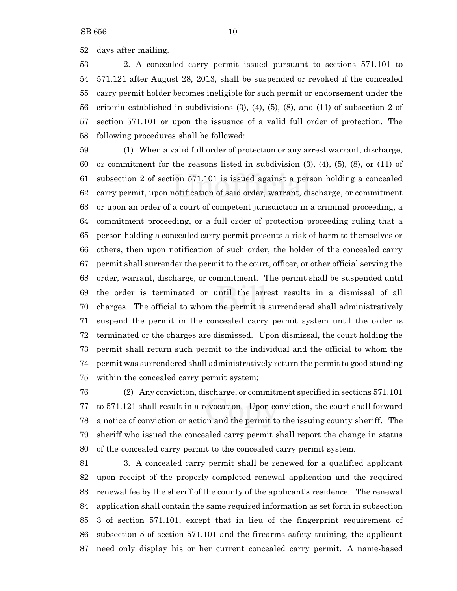days after mailing.

 2. A concealed carry permit issued pursuant to sections 571.101 to 571.121 after August 28, 2013, shall be suspended or revoked if the concealed carry permit holder becomes ineligible for such permit or endorsement under the criteria established in subdivisions (3), (4), (5), (8), and (11) of subsection 2 of section 571.101 or upon the issuance of a valid full order of protection. The following procedures shall be followed:

 (1) When a valid full order of protection or any arrest warrant, discharge, or commitment for the reasons listed in subdivision (3), (4), (5), (8), or (11) of subsection 2 of section 571.101 is issued against a person holding a concealed carry permit, upon notification of said order, warrant, discharge, or commitment or upon an order of a court of competent jurisdiction in a criminal proceeding, a commitment proceeding, or a full order of protection proceeding ruling that a person holding a concealed carry permit presents a risk of harm to themselves or others, then upon notification of such order, the holder of the concealed carry permit shall surrender the permit to the court, officer, or other official serving the order, warrant, discharge, or commitment. The permit shall be suspended until the order is terminated or until the arrest results in a dismissal of all charges. The official to whom the permit is surrendered shall administratively suspend the permit in the concealed carry permit system until the order is terminated or the charges are dismissed. Upon dismissal, the court holding the permit shall return such permit to the individual and the official to whom the permit was surrendered shall administratively return the permit to good standing within the concealed carry permit system;

 (2) Any conviction, discharge, or commitment specified in sections 571.101 to 571.121 shall result in a revocation. Upon conviction, the court shall forward a notice of conviction or action and the permit to the issuing county sheriff. The sheriff who issued the concealed carry permit shall report the change in status of the concealed carry permit to the concealed carry permit system.

 3. A concealed carry permit shall be renewed for a qualified applicant upon receipt of the properly completed renewal application and the required renewal fee by the sheriff of the county of the applicant's residence. The renewal application shall contain the same required information as set forth in subsection 3 of section 571.101, except that in lieu of the fingerprint requirement of subsection 5 of section 571.101 and the firearms safety training, the applicant need only display his or her current concealed carry permit. A name-based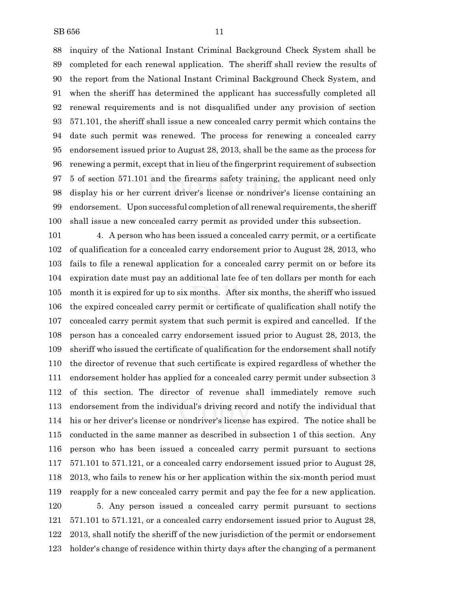inquiry of the National Instant Criminal Background Check System shall be completed for each renewal application. The sheriff shall review the results of the report from the National Instant Criminal Background Check System, and when the sheriff has determined the applicant has successfully completed all renewal requirements and is not disqualified under any provision of section 571.101, the sheriff shall issue a new concealed carry permit which contains the date such permit was renewed. The process for renewing a concealed carry endorsement issued prior to August 28, 2013, shall be the same as the process for renewing a permit, except that in lieu of the fingerprint requirement of subsection 5 of section 571.101 and the firearms safety training, the applicant need only display his or her current driver's license or nondriver's license containing an 99 endorsement. Upon successful completion of all renewal requirements, the sheriff shall issue a new concealed carry permit as provided under this subsection.

 4. A person who has been issued a concealed carry permit, or a certificate of qualification for a concealed carry endorsement prior to August 28, 2013, who fails to file a renewal application for a concealed carry permit on or before its expiration date must pay an additional late fee of ten dollars per month for each month it is expired for up to six months. After six months, the sheriff who issued the expired concealed carry permit or certificate of qualification shall notify the concealed carry permit system that such permit is expired and cancelled. If the person has a concealed carry endorsement issued prior to August 28, 2013, the sheriff who issued the certificate of qualification for the endorsement shall notify the director of revenue that such certificate is expired regardless of whether the endorsement holder has applied for a concealed carry permit under subsection 3 of this section. The director of revenue shall immediately remove such endorsement from the individual's driving record and notify the individual that his or her driver's license or nondriver's license has expired. The notice shall be conducted in the same manner as described in subsection 1 of this section. Any person who has been issued a concealed carry permit pursuant to sections 571.101 to 571.121, or a concealed carry endorsement issued prior to August 28, 2013, who fails to renew his or her application within the six-month period must reapply for a new concealed carry permit and pay the fee for a new application. 5. Any person issued a concealed carry permit pursuant to sections 571.101 to 571.121, or a concealed carry endorsement issued prior to August 28, 2013, shall notify the sheriff of the new jurisdiction of the permit or endorsement holder's change of residence within thirty days after the changing of a permanent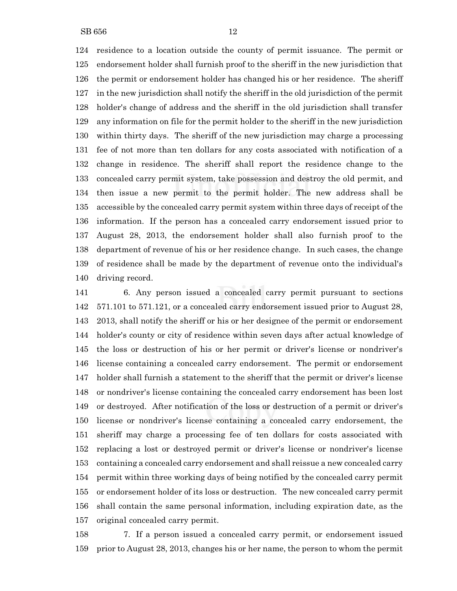residence to a location outside the county of permit issuance. The permit or endorsement holder shall furnish proof to the sheriff in the new jurisdiction that the permit or endorsement holder has changed his or her residence. The sheriff in the new jurisdiction shall notify the sheriff in the old jurisdiction of the permit holder's change of address and the sheriff in the old jurisdiction shall transfer any information on file for the permit holder to the sheriff in the new jurisdiction within thirty days. The sheriff of the new jurisdiction may charge a processing fee of not more than ten dollars for any costs associated with notification of a change in residence. The sheriff shall report the residence change to the concealed carry permit system, take possession and destroy the old permit, and then issue a new permit to the permit holder. The new address shall be accessible by the concealed carry permit system within three days of receipt of the information. If the person has a concealed carry endorsement issued prior to August 28, 2013, the endorsement holder shall also furnish proof to the department of revenue of his or her residence change. In such cases, the change of residence shall be made by the department of revenue onto the individual's driving record.

 6. Any person issued a concealed carry permit pursuant to sections 571.101 to 571.121, or a concealed carry endorsement issued prior to August 28, 2013, shall notify the sheriff or his or her designee of the permit or endorsement holder's county or city of residence within seven days after actual knowledge of the loss or destruction of his or her permit or driver's license or nondriver's license containing a concealed carry endorsement. The permit or endorsement holder shall furnish a statement to the sheriff that the permit or driver's license or nondriver's license containing the concealed carry endorsement has been lost or destroyed. After notification of the loss or destruction of a permit or driver's license or nondriver's license containing a concealed carry endorsement, the sheriff may charge a processing fee of ten dollars for costs associated with replacing a lost or destroyed permit or driver's license or nondriver's license containing a concealed carry endorsement and shall reissue a new concealed carry permit within three working days of being notified by the concealed carry permit or endorsement holder of its loss or destruction. The new concealed carry permit shall contain the same personal information, including expiration date, as the original concealed carry permit.

 7. If a person issued a concealed carry permit, or endorsement issued prior to August 28, 2013, changes his or her name, the person to whom the permit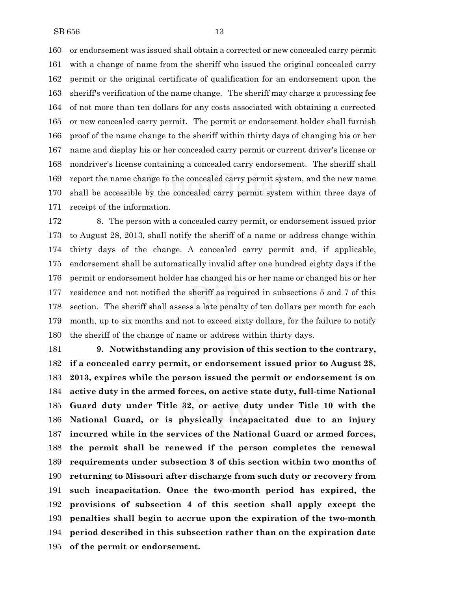or endorsement was issued shall obtain a corrected or new concealed carry permit with a change of name from the sheriff who issued the original concealed carry permit or the original certificate of qualification for an endorsement upon the sheriff's verification of the name change. The sheriff may charge a processing fee of not more than ten dollars for any costs associated with obtaining a corrected or new concealed carry permit. The permit or endorsement holder shall furnish proof of the name change to the sheriff within thirty days of changing his or her name and display his or her concealed carry permit or current driver's license or nondriver's license containing a concealed carry endorsement. The sheriff shall report the name change to the concealed carry permit system, and the new name shall be accessible by the concealed carry permit system within three days of receipt of the information.

 8. The person with a concealed carry permit, or endorsement issued prior to August 28, 2013, shall notify the sheriff of a name or address change within thirty days of the change. A concealed carry permit and, if applicable, endorsement shall be automatically invalid after one hundred eighty days if the permit or endorsement holder has changed his or her name or changed his or her residence and not notified the sheriff as required in subsections 5 and 7 of this section. The sheriff shall assess a late penalty of ten dollars per month for each month, up to six months and not to exceed sixty dollars, for the failure to notify the sheriff of the change of name or address within thirty days.

 **9. Notwithstanding any provision of this section to the contrary, if a concealed carry permit, or endorsement issued prior to August 28, 2013, expires while the person issued the permit or endorsement is on active duty in the armed forces, on active state duty, full-time National Guard duty under Title 32, or active duty under Title 10 with the National Guard, or is physically incapacitated due to an injury incurred while in the services of the National Guard or armed forces, the permit shall be renewed if the person completes the renewal requirements under subsection 3 of this section within two months of returning to Missouri after discharge from such duty or recovery from such incapacitation. Once the two-month period has expired, the provisions of subsection 4 of this section shall apply except the penalties shall begin to accrue upon the expiration of the two-month period described in this subsection rather than on the expiration date of the permit or endorsement.**